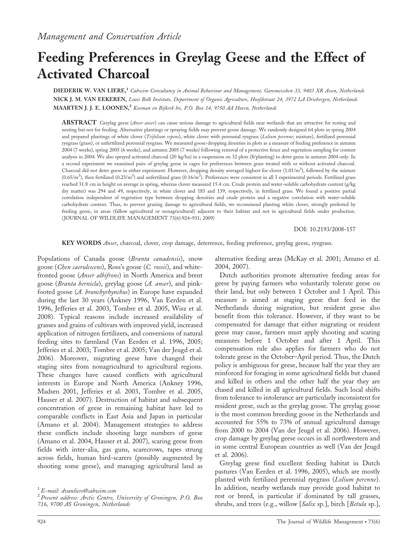# Feeding Preferences in Greylag Geese and the Effect of Activated Charcoal

DIEDERIK W. VAN LIERE,<sup>1</sup> Cabwim Consultancy in Animal Behaviour and Management, Gansmesschen 33, 9403 XR Assen, Netherlands NICK J. M. VAN EEKEREN, Louis Bolk Institute, Department of Organic Agriculture, Hoofdstraat 24, 3972 LA Driebergen, Netherlands MAARTEN J. J. E. LOONEN,<sup>2</sup> Koeman en Bijkerk bv, P.O. Box 14, 9750 AA Haren, Netherlands

ABSTRACT Greylag geese (*Anser anser*) can cause serious damage to agricultural fields near wetlands that are attractive for resting and nesting but not for feeding. Alternative plantings or spraying fields may prevent goose damage. We randomly designed 64 plots in spring 2004 and prepared plantings of white clover (Trifolium repens), white clover with perennial ryegrass (Lolium perenne; mixture), fertilized perennial ryegrass (grass), or unfertilized perennial ryegrass. We measured goose-dropping densities in plots as a measure of feeding preference in autumn 2004 (7 weeks), spring 2005 (6 weeks), and autumn 2005 (7 weeks) following removal of a protective fence and vegetation sampling for content analysis in 2004. We also sprayed activated charcoal (20 kg/ha) in a suspension on 32 plots (8/planting) to deter geese in autumn 2004 only. In a second experiment we examined pairs of greylag geese in cages for preferences between grass treated with or without activated charcoal. Charcoal did not deter geese in either experiment. However, dropping density averaged highest for clover (1.01/m<sup>2</sup>), followed by the mixture  $(0.65/m^2)$ , then fertilized  $(0.23/m^2)$  and unfertilized grass  $(0.16/m^2)$ . Preferences were consistent in all 3 experimental periods. Fertilized grass reached 31.8 cm in height on average in spring, whereas clover measured 15.4 cm. Crude protein and water-soluble carbohydrate content (g/kg dry matter) was 294 and 49, respectively, in white clover and 183 and 139, respectively, in fertilized grass. We found a positive partial correlation independent of vegetation type between dropping densities and crude protein and a negative correlation with water-soluble carbohydrate content. Thus, to prevent grazing damage to agricultural fields, we recommend planting white clover, strongly preferred by feeding geese, in areas (fallow agricultural or nonagricultural) adjacent to their habitat and not in agricultural fields under production. (JOURNAL OF WILDLIFE MANAGEMENT 73(6):924–931; 2009)

DOI: 10.2193/2008-157

KEY WORDS Anser, charcoal, clover, crop damage, deterrence, feeding preference, greylag geese, ryegrass.

Populations of Canada goose (Branta canadensis), snow goose (Chen caerulescens), Ross's goose (C. rossii), and whitefronted goose (*Anser albifrons*) in North America and brent goose (Branta bernicla), greylag goose (A. anser), and pinkfooted goose (A. branchyrhynchus) in Europe have expanded during the last 30 years (Ankney 1996, Van Eerden et al. 1996, Jefferies et al. 2003, Tombre et al. 2005, Wisz et al. 2008). Typical reasons include increased availability of grasses and grains of cultivars with improved yield, increased application of nitrogen fertilizers, and conversions of natural feeding sites to farmland (Van Eerden et al. 1996, 2005; Jefferies et al. 2003; Tombre et al. 2005; Van der Jeugd et al. 2006). Moreover, migrating geese have changed their staging sites from nonagricultural to agricultural regions. These changes have caused conflicts with agricultural interests in Europe and North America (Ankney 1996, Madsen 2001, Jefferies et al. 2003, Tombre et al. 2005, Hauser et al. 2007). Destruction of habitat and subsequent concentration of geese in remaining habitat have led to comparable conflicts in East Asia and Japan in particular (Amano et al. 2004). Management strategies to address these conflicts include shooting large numbers of geese (Amano et al. 2004, Hauser et al. 2007), scaring geese from fields with inter-alia, gas guns, scarecrows, tapes strung across fields, human bird-scarers (possibly augmented by shooting some geese), and managing agricultural land as

alternative feeding areas (McKay et al. 2001; Amano et al. 2004, 2007).

Dutch authorities promote alternative feeding areas for geese by paying farmers who voluntarily tolerate geese on their land, but only between 1 October and 1 April. This measure is aimed at staging geese that feed in the Netherlands during migration, but resident geese also benefit from this tolerance. However, if they want to be compensated for damage that either migrating or resident geese may cause, farmers must apply shooting and scaring measures before 1 October and after 1 April. This compensation rule also applies for farmers who do not tolerate geese in the October–April period. Thus, the Dutch policy is ambiguous for geese, because half the year they are reinforced for foraging in some agricultural fields but chased and killed in others and the other half the year they are chased and killed in all agricultural fields. Such local shifts from tolerance to intolerance are particularly inconsistent for resident geese, such as the greylag goose. The greylag goose is the most common breeding goose in the Netherlands and accounted for 55% to 73% of annual agricultural damage from 2000 to 2004 (Van der Jeugd et al. 2006). However, crop damage by greylag geese occurs in all northwestern and in some central European countries as well (Van der Jeugd et al. 2006).

Greylag geese find excellent feeding habitat in Dutch pastures (Van Eerden et al. 1996, 2005), which are mostly planted with fertilized perennial ryegrass (Lolium perenne). In addition, nearby wetlands may provide good habitat to rest or breed, in particular if dominated by tall grasses, shrubs, and trees (e.g., willow [Salix sp.], birch [Betula sp.],

 $1$  E-mail: dvanliere@cabwim.com

<sup>&</sup>lt;sup>2</sup> Present address: Arctic Centre, University of Groningen, P.O. Box 716, 9700 AS Groningen, Netherlands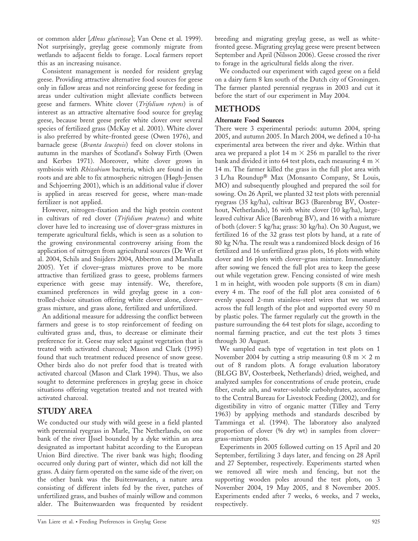or common alder [Alnus glutinosa]; Van Oene et al. 1999). Not surprisingly, greylag geese commonly migrate from wetlands to adjacent fields to forage. Local farmers report this as an increasing nuisance.

Consistent management is needed for resident greylag geese. Providing attractive alternative food sources for geese only in fallow areas and not reinforcing geese for feeding in areas under cultivation might alleviate conflicts between geese and farmers. White clover (Trifolium repens) is of interest as an attractive alternative food source for greylag geese, because brent geese prefer white clover over several species of fertilized grass (McKay et al. 2001). White clover is also preferred by white-fronted geese (Owen 1976), and barnacle geese (Branta leucopsis) feed on clover stolons in autumn in the marshes of Scotland's Solway Firth (Owen and Kerbes 1971). Moreover, white clover grows in symbiosis with Rhizobium bacteria, which are found in the roots and are able to fix atmospheric nitrogen (Høgh-Jensen and Schjoerring 2001), which is an additional value if clover is applied in areas reserved for geese, where man-made fertilizer is not applied.

However, nitrogen-fixation and the high protein content in cultivars of red clover (Trifolium pratense) and white clover have led to increasing use of clover–grass mixtures in temperate agricultural fields, which is seen as a solution to the growing environmental controversy arising from the application of nitrogen from agricultural sources (De Wit et al. 2004, Schils and Snijders 2004, Abberton and Marshalla 2005). Yet if clover–grass mixtures prove to be more attractive than fertilized grass to geese, problems farmers experience with geese may intensify. We, therefore, examined preferences in wild greylag geese in a controlled-choice situation offering white clover alone, clover– grass mixture, and grass alone, fertilized and unfertilized.

An additional measure for addressing the conflict between farmers and geese is to stop reinforcement of feeding on cultivated grass and, thus, to decrease or eliminate their preference for it. Geese may select against vegetation that is treated with activated charcoal; Mason and Clark (1995) found that such treatment reduced presence of snow geese. Other birds also do not prefer food that is treated with activated charcoal (Mason and Clark 1994). Thus, we also sought to determine preferences in greylag geese in choice situations offering vegetation treated and not treated with activated charcoal.

# STUDY AREA

We conducted our study with wild geese in a field planted with perennial ryegrass in Marle, The Netherlands, on one bank of the river IJssel bounded by a dyke within an area designated as important habitat according to the European Union Bird directive. The river bank was high; flooding occurred only during part of winter, which did not kill the grass. A dairy farm operated on the same side of the river; on the other bank was the Buitenwaarden, a nature area consisting of different inlets fed by the river, patches of unfertilized grass, and bushes of mainly willow and common alder. The Buitenwaarden was frequented by resident

breeding and migrating greylag geese, as well as whitefronted geese. Migrating greylag geese were present between September and April (Nilsson 2006). Geese crossed the river to forage in the agricultural fields along the river.

We conducted our experiment with caged geese on a field on a dairy farm 8 km south of the Dutch city of Groningen. The farmer planted perennial ryegrass in 2003 and cut it before the start of our experiment in May 2004.

## METHODS

### Alternate Food Sources

There were 3 experimental periods: autumn 2004, spring 2005, and autumn 2005. In March 2004, we defined a 10-ha experimental area between the river and dyke. Within that area we prepared a plot 14 m  $\times$  256 m parallel to the river bank and divided it into 64 test plots, each measuring 4 m  $\times$ 14 m. The farmer killed the grass in the full plot area with 3 L/ha Roundup<sup>®</sup> Max (Monsanto Company, St Louis, MO) and subsequently ploughed and prepared the soil for sowing. On 26 April, we planted 32 test plots with perennial ryegrass (35 kg/ha), cultivar BG3 (Barenbrug BV, Oosterhout, Netherlands), 16 with white clover (10 kg/ha), largeleaved cultivar Alice (Barenbrug BV), and 16 with a mixture of both (clover: 5 kg/ha; grass: 30 kg/ha). On 30 August, we fertilized 16 of the 32 grass test plots by hand, at a rate of 80 kg N/ha. The result was a randomized block design of 16 fertilized and 16 unfertilized grass plots, 16 plots with white clover and 16 plots with clover–grass mixture. Immediately after sowing we fenced the full plot area to keep the geese out while vegetation grew. Fencing consisted of wire mesh 1 m in height, with wooden pole supports (8 cm in diam) every 4 m. The roof of the full plot area consisted of 6 evenly spaced 2-mm stainless-steel wires that we snared across the full length of the plot and supported every 50 m by plastic poles. The farmer regularly cut the growth in the pasture surrounding the 64 test plots for silage, according to normal farming practice, and cut the test plots 3 times through 30 August.

We sampled each type of vegetation in test plots on 1 November 2004 by cutting a strip measuring 0.8 m  $\times$  2 m out of 8 random plots. A forage evaluation laboratory (BLGG BV, Oosterbeek, Netherlands) dried, weighed, and analyzed samples for concentrations of crude protein, crude fiber, crude ash, and water-soluble carbohydrates, according to the Central Bureau for Livestock Feeding (2002), and for digestibility in vitro of organic matter (Tilley and Terry 1963) by applying methods and standards described by Tamminga et al. (1994). The laboratory also analyzed proportion of clover (% dry wt) in samples from clover– grass-mixture plots.

Experiments in 2005 followed cutting on 15 April and 20 September, fertilizing 3 days later, and fencing on 28 April and 27 September, respectively. Experiments started when we removed all wire mesh and fencing, but not the supporting wooden poles around the test plots, on 3 November 2004, 19 May 2005, and 8 November 2005. Experiments ended after 7 weeks, 6 weeks, and 7 weeks, respectively.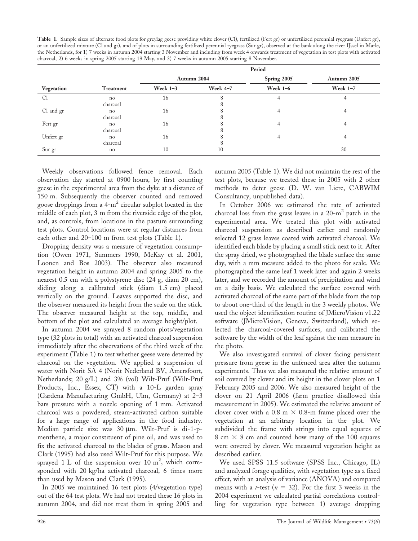| Table 1. Sample sizes of alternate food plots for greylag geese providing white clover (Cl), fertilized (Fert gr) or unfertilized perennial ryegrass (Unfert gr), |
|-------------------------------------------------------------------------------------------------------------------------------------------------------------------|
| or an unfertilized mixture (Cl and gr), and of plots in surrounding fertilized perennial ryegrass (Sur gr), observed at the bank along the river IJssel in Marle, |
| the Netherlands, for 1) 7 weeks in autumn 2004 starting 3 November and including from week 4 onwards treatment of vegetation in test plots with activated         |
| charcoal, 2) 6 weeks in spring 2005 starting 19 May, and 3) 7 weeks in autumn 2005 starting 8 November.                                                           |

|            |           | Period     |             |                 |                 |  |  |  |  |  |
|------------|-----------|------------|-------------|-----------------|-----------------|--|--|--|--|--|
|            |           |            | Autumn 2004 | Spring 2005     | Autumn 2005     |  |  |  |  |  |
| Vegetation | Treatment | Week $1-3$ | Week 4-7    | <b>Week 1-6</b> | <b>Week 1-7</b> |  |  |  |  |  |
| C1         | no        | 16         | 8           | 4               | 4               |  |  |  |  |  |
|            | charcoal  |            | 8           |                 |                 |  |  |  |  |  |
| Cl and gr  | no        | 16         | 8           | 4               | 4               |  |  |  |  |  |
|            | charcoal  |            | 8           |                 |                 |  |  |  |  |  |
| Fert gr    | no        | 16         | 8           | 4               | 4               |  |  |  |  |  |
|            | charcoal  |            | δ.          |                 |                 |  |  |  |  |  |
| Unfert gr  | no        | 16         | 8           | 4               | 4               |  |  |  |  |  |
|            | charcoal  |            | 8           |                 |                 |  |  |  |  |  |
| Sur gr     | no        | 10         | 10          |                 | 30              |  |  |  |  |  |

Weekly observations followed fence removal. Each observation day started at 0900 hours, by first counting geese in the experimental area from the dyke at a distance of 150 m. Subsequently the observer counted and removed goose droppings from a  $4-m^2$  circular subplot located in the middle of each plot, 3 m from the riverside edge of the plot, and, as controls, from locations in the pasture surrounding test plots. Control locations were at regular distances from each other and 20–100 m from test plots (Table 1).

Dropping density was a measure of vegetation consumption (Owen 1971, Summers 1990, McKay et al. 2001, Loonen and Bos 2003). The observer also measured vegetation height in autumn 2004 and spring 2005 to the nearest 0.5 cm with a polystyrene disc (24 g, diam 20 cm), sliding along a calibrated stick (diam 1.5 cm) placed vertically on the ground. Leaves supported the disc, and the observer measured its height from the scale on the stick. The observer measured height at the top, middle, and bottom of the plot and calculated an average height/plot.

In autumn 2004 we sprayed 8 random plots/vegetation type (32 plots in total) with an activated charcoal suspension immediately after the observations of the third week of the experiment (Table 1) to test whether geese were deterred by charcoal on the vegetation. We applied a suspension of water with Norit SA 4 (Norit Nederland BV, Amersfoort, Netherlands; 20 g/L) and 3% (vol) Wilt-Pruf (Wilt-Pruf Products, Inc., Essex, CT) with a 10-L garden spray (Gardena Manufacturing GmbH, Ulm, Germany) at 2–3 bars pressure with a nozzle opening of 1 mm. Activated charcoal was a powdered, steam-activated carbon suitable for a large range of applications in the food industry. Median particle size was 30  $\mu$ m. Wilt-Pruf is di-1-pmenthene, a major constituent of pine oil, and was used to fix the activated charcoal to the blades of grass. Mason and Clark (1995) had also used Wilt-Pruf for this purpose. We sprayed 1 L of the suspension over 10  $m^2$ , which corresponded with 20 kg/ha activated charcoal, 6 times more than used by Mason and Clark (1995).

In 2005 we maintained 16 test plots (4/vegetation type) out of the 64 test plots. We had not treated these 16 plots in autumn 2004, and did not treat them in spring 2005 and autumn 2005 (Table 1). We did not maintain the rest of the test plots, because we treated these in 2005 with 2 other methods to deter geese (D. W. van Liere, CABWIM Consultancy, unpublished data).

In October 2006 we estimated the rate of activated charcoal loss from the grass leaves in a  $20-m^2$  patch in the experimental area. We treated this plot with activated charcoal suspension as described earlier and randomly selected 12 grass leaves coated with activated charcoal. We identified each blade by placing a small stick next to it. After the spray dried, we photographed the blade surface the same day, with a mm measure added to the photo for scale. We photographed the same leaf 1 week later and again 2 weeks later, and we recorded the amount of precipitation and wind on a daily basis. We calculated the surface covered with activated charcoal of the same part of the blade from the top to about one-third of the length in the 3 weekly photos. We used the object identification routine of JMicroVision v1.22 software (JMicroVision, Geneva, Switzerland), which selected the charcoal-covered surfaces, and calibrated the software by the width of the leaf against the mm measure in the photo.

We also investigated survival of clover facing persistent pressure from geese in the unfenced area after the autumn experiments. Thus we also measured the relative amount of soil covered by clover and its height in the clover plots on 1 February 2005 and 2006. We also measured height of the clover on 21 April 2006 (farm practice disallowed this measurement in 2005). We estimated the relative amount of clover cover with a 0.8 m  $\times$  0.8-m frame placed over the vegetation at an arbitrary location in the plot. We subdivided the frame with strings into equal squares of 8 cm  $\times$  8 cm and counted how many of the 100 squares were covered by clover. We measured vegetation height as described earlier.

We used SPSS 11.5 software (SPSS Inc., Chicago, IL) and analyzed forage qualities, with vegetation type as a fixed effect, with an analysis of variance (ANOVA) and compared means with a *t*-test ( $n = 32$ ). For the first 3 weeks in the 2004 experiment we calculated partial correlations controlling for vegetation type between 1) average dropping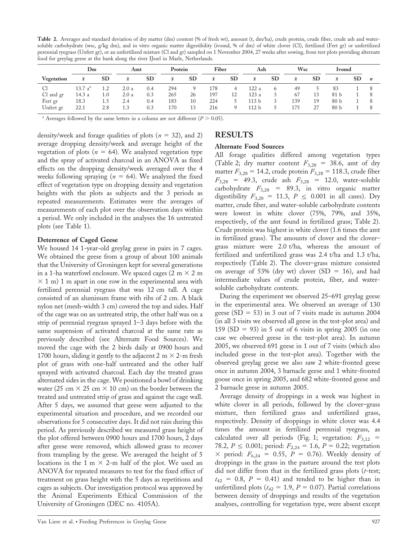Table 2. Averages and standard deviation of dry matter (dm) content (% of fresh wt), amount (t, dm/ha), crude protein, crude fiber, crude ash and watersoluble carbohydrate (wsc, g/kg dm), and in vitro organic matter digestibility (ivomd, % of dm) of white clover (Cl), fertilized (Fert gr) or unfertilized perennial ryegrass (Unfert gr), or an unfertilized mixture (Cl and gr) sampled on 1 November 2004, 27 weeks after sowing, from test plots providing alternate food for greylag geese at the bank along the river IJssel in Marle, Netherlands.

|                   | Dm                  |           | Amt       |           | Protein   |           | Fiber     |           | Ash              |           | Wsc       |           | <b>Ivomd</b>    |           |                  |
|-------------------|---------------------|-----------|-----------|-----------|-----------|-----------|-----------|-----------|------------------|-----------|-----------|-----------|-----------------|-----------|------------------|
| <b>Vegetation</b> | $\bar{x}$           | <b>SD</b> | $\bar{x}$ | <b>SD</b> | $\bar{x}$ | <b>SD</b> | $\bar{x}$ | <b>SD</b> | $\bar{x}$        | <b>SD</b> | $\bar{x}$ | <b>SD</b> | $\bar{x}$       | <b>SD</b> | $\boldsymbol{n}$ |
| C1                | 13.7 a <sup>a</sup> | 1.2       | 2.0a      | 0.4       | 294       | 9         | 178       | 4         | 122 a            | 6         | 49        |           | 83              |           |                  |
| Cl and gr         | 14.3 a              | 1.0       | 2.0a      | 0.3       | 265       | 26        | 197       | 12        | 123a             | 3         | 67        | 13        | 81 b            |           |                  |
| Fert gr           | 18.3                | 1.5       | 2.4       | 0.4       | 183       | 10        | 224       |           | 113 b            | 3         | 139       | 19        | 80 <sub>b</sub> |           |                  |
| Unfert gr         | 22.1                | 2.8       | 1.3       | 0.3       | 170       | 13        | 216       | 9         | 112 <sub>b</sub> | C.        | 175       | 27        | 80 <sub>b</sub> |           |                  |

<sup>a</sup> Averages followed by the same letters in a column are not different ( $P > 0.05$ ).

density/week and forage qualities of plots ( $n = 32$ ), and 2) average dropping density/week and average height of the vegetation of plots ( $n = 64$ ). We analyzed vegetation type and the spray of activated charcoal in an ANOVA as fixed effects on the dropping density/week averaged over the 4 weeks following spraying ( $n = 64$ ). We analyzed the fixed effect of vegetation type on dropping density and vegetation heights with the plots as subjects and the 3 periods as repeated measurements. Estimates were the averages of measurements of each plot over the observation days within a period. We only included in the analyses the 16 untreated plots (see Table 1).

#### Deterrence of Caged Geese

We housed 14 1-year-old greylag geese in pairs in 7 cages. We obtained the geese from a group of about 100 animals that the University of Groningen kept for several generations in a 1-ha waterfowl enclosure. We spaced cages (2 m  $\times$  2 m  $\times$  1 m) 1 m apart in one row in the experimental area with fertilized perennial ryegrass that was 12 cm tall. A cage consisted of an aluminum frame with ribs of 2 cm. A black nylon net (mesh-width 3 cm) covered the top and sides. Half of the cage was on an untreated strip, the other half was on a strip of perennial ryegrass sprayed 1–3 days before with the same suspension of activated charcoal at the same rate as previously described (see Alternate Food Sources). We moved the cage with the 2 birds daily at 0900 hours and 1700 hours, sliding it gently to the adjacent 2 m  $\times$  2-m fresh plot of grass with one-half untreated and the other half sprayed with activated charcoal. Each day the treated grass alternated sides in the cage. We positioned a bowl of drinking water (25 cm  $\times$  25 cm  $\times$  10 cm) on the border between the treated and untreated strip of grass and against the cage wall. After 5 days, we assumed that geese were adjusted to the experimental situation and procedure, and we recorded our observations for 5 consecutive days. It did not rain during this period. As previously described we measured grass height of the plot offered between 0900 hours and 1700 hours, 2 days after geese were removed, which allowed grass to recover from trampling by the geese. We averaged the height of 5 locations in the 1 m  $\times$  2-m half of the plot. We used an ANOVA for repeated measures to test for the fixed effect of treatment on grass height with the 5 days as repetitions and cages as subjects. Our investigation protocol was approved by the Animal Experiments Ethical Commission of the University of Groningen (DEC no. 4105A).

## RESULTS

#### Alternate Food Sources

All forage qualities differed among vegetation types (Table 2; dry matter content  $F_{3,28}$  = 38.6, amt of dry matter  $F_{3,28} = 14.2$ , crude protein  $F_{3,28} = 118.3$ , crude fiber  $F_{3,28}$  = 49.3, crude ash  $F_{3,28}$  = 12.0, water-soluble carbohydrate  $F_{3,28}$  = 89.3, in vitro organic matter digestibility  $F_{3,28} = 11.3$ ,  $P \le 0.001$  in all cases). Dry matter, crude fiber, and water-soluble carbohydrate contents were lowest in white clover (75%, 79%, and 35%, respectively, of the amt found in fertilized grass; Table 2). Crude protein was highest in white clover (1.6 times the amt in fertilized grass). The amounts of clover and the clover– grass mixture were 2.0 t/ha, whereas the amount of fertilized and unfertilized grass was 2.4 t/ha and 1.3 t/ha, respectively (Table 2). The clover–grass mixture consisted on average of 53% (dry wt) clover (SD = 16), and had intermediate values of crude protein, fiber, and watersoluble carbohydrate contents.

During the experiment we observed 25–691 greylag geese in the experimental area. We observed an average of 130 geese (SD = 53) in 3 out of 7 visits made in autumn 2004 (in all 3 visits we observed all geese in the test-plot area) and 159 (SD = 93) in 5 out of 6 visits in spring 2005 (in one case we observed geese in the test-plot area). In autumn 2005, we observed 691 geese in 1 out of 7 visits (which also included geese in the test-plot area). Together with the observed greylag geese we also saw 2 white-fronted geese once in autumn 2004, 3 barnacle geese and 1 white-fronted goose once in spring 2005, and 682 white-fronted geese and 2 barnacle geese in autumn 2005.

Average density of droppings in a week was highest in white clover in all periods, followed by the clover–grass mixture, then fertilized grass and unfertilized grass, respectively. Density of droppings in white clover was 4.4 times the amount in fertilized perennial ryegrass, as calculated over all periods (Fig. 1; vegetation:  $F_{3,12}$  = 78.2,  $P \le 0.001$ ; period:  $F_{2,24} = 1.6$ ,  $P = 0.22$ ; vegetation  $\times$  period:  $F_{6,24} = 0.55$ ,  $P = 0.76$ ). Weekly density of droppings in the grass in the pasture around the test plots did not differ from that in the fertilized grass plots  $(t$ -test;  $t_{42}$  = 0.8, P = 0.41) and tended to be higher than in unfertilized plots ( $t_{42} = 1.9$ ,  $P = 0.07$ ). Partial correlations between density of droppings and results of the vegetation analyses, controlling for vegetation type, were absent except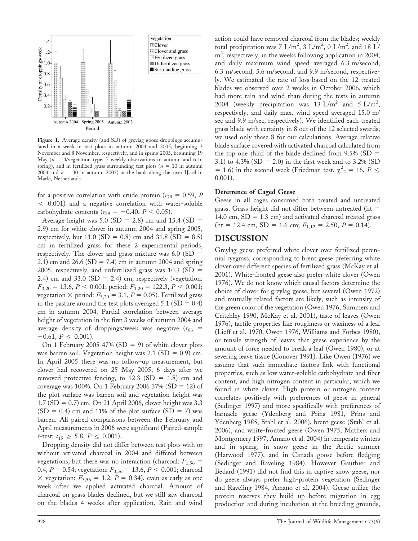

Figure 1. Average density (and SD) of greylag goose droppings accumulated in a week in test plots in autumn 2004 and 2005, beginning 3 November and 8 November, respectively, and in spring 2005, beginning 19 May ( $n = 4$ /vegetation type, 7 weekly observations in autumn and 6 in spring), and in fertilized grass surrounding test plots ( $n = 10$  in autumn 2004 and  $n = 30$  in autumn 2005) at the bank along the river IJssel in Marle, Netherlands.

for a positive correlation with crude protein ( $r_{29} = 0.59$ , P  $\leq$  0.001) and a negative correlation with water-soluble carbohydrate contents ( $r_{29} = -0.40$ ,  $P < 0.05$ ).

Average height was 5.0 (SD = 2.8) cm and 15.4 (SD = 2.9) cm for white clover in autumn 2004 and spring 2005, respectively, but 11.0 (SD = 0.8) cm and 31.8 (SD = 8.5) cm in fertilized grass for these 2 experimental periods, respectively. The clover and grass mixture was  $6.0$  (SD = 2.1) cm and 26.6 (SD = 7.4) cm in autumn 2004 and spring 2005, respectively, and unfertilized grass was  $10.3$  (SD = 2.4) cm and 33.0 (SD = 2.4) cm, respectively (vegetation:  $F_{3,20} = 13.6, P \le 0.001$ ; period:  $F_{1,20} = 122.3, P \le 0.001$ ; vegetation  $\times$  period:  $F_{3,20} = 3.1, P = 0.05$ ). Fertilized grass in the pasture around the test plots averaged  $5.1$  (SD = 0.4) cm in autumn 2004. Partial correlation between average height of vegetation in the first 3 weeks of autumn 2004 and average density of droppings/week was negative ( $r_{66}$  =  $-0.61, P \leq 0.001$ ).

On 1 February 2005 47% (SD = 9) of white clover plots was barren soil. Vegetation height was  $2.1$  (SD = 0.9) cm. In April 2005 there was no follow-up measurement, but clover had recovered on 25 May 2005, 6 days after we removed protective fencing, to  $12.3$  (SD = 1.8) cm and coverage was 100%. On 1 February 2006 37% (SD = 12) of the plot surface was barren soil and vegetation height was  $1.7 (SD = 0.7)$  cm. On 21 April 2006, clover height was 3.3  $(SD = 0.4)$  cm and 11% of the plot surface  $(SD = 7)$  was barren. All paired comparisons between the February and April measurements in 2006 were significant (Paired-sample *t*-test:  $t_{15} \geq 5.8, P \leq 0.001$ ).

Dropping density did not differ between test plots with or without activated charcoal in 2004 and differed between vegetations, but there was no interaction (charcoal:  $F_{1,56}$  = 0.4,  $P = 0.54$ ; vegetation:  $F_{3,56} = 13.6, P \le 0.001$ ; charcoal  $\times$  vegetation:  $F_{3,56} = 1.2$ ,  $P = 0.34$ ), even as early as one week after we applied activated charcoal. Amount of charcoal on grass blades declined, but we still saw charcoal on the blades 4 weeks after application. Rain and wind action could have removed charcoal from the blades; weekly total precipitation was 7 L/m<sup>2</sup>, 3 L/m<sup>2</sup>, 0 L/m<sup>2</sup>, and 18 L/ m<sup>2</sup>, respectively, in the weeks following application in 2004, and daily maximum wind speed averaged 6.3 m/second, 6.3 m/second, 5.6 m/second, and 9.9 m/second, respectively. We estimated the rate of loss based on the 12 treated blades we observed over 2 weeks in October 2006, which had more rain and wind than during the tests in autumn 2004 (weekly precipitation was  $13 \text{ L/m}^2$  and  $5 \text{ L/m}^2$ , respectively, and daily max. wind speed averaged 15.0 m/ sec and 9.9 m/sec, respectively). We identified each treated grass blade with certainty in 8 out of the 12 selected swards; we used only these 8 for our calculations. Average relative blade surface covered with activated charcoal calculated from the top one third of the blade declined from  $9.5\%$  (SD = 3.1) to 4.3% (SD = 2.0) in the first week and to 3.2% (SD = 1.6) in the second week (Friedman test,  $\chi^2$ <sub>2</sub> = 16, P  $\le$ 0.001).

#### Deterrence of Caged Geese

Geese in all cages consumed both treated and untreated grass. Grass height did not differ between untreated (ht  $=$ 14.0 cm,  $SD = 1.3$  cm) and activated charcoal treated grass  $(ht = 12.4 cm, SD = 1.6 cm; F<sub>1,12</sub> = 2.50, P = 0.14).$ 

#### DISCUSSION

Greylag geese preferred white clover over fertilized perennial ryegrass, corresponding to brent geese preferring white clover over different species of fertilized grass (McKay et al. 2001). White-fronted geese also prefer white clover (Owen 1976). We do not know which causal factors determine the choice of clover for greylag geese, but several (Owen 1972) and mutually related factors are likely, such as intensity of the green color of the vegetation (Owen 1976, Summers and Critchley 1990, McKay et al. 2001), taste of leaves (Owen 1976), tactile properties like roughness or waxiness of a leaf (Lieff et al. 1970, Owen 1976, Williams and Forbes 1980), or tensile strength of leaves that geese experience by the amount of force needed to break a leaf (Owen 1980), or at severing leave tissue (Conover 1991). Like Owen (1976) we assume that such immediate factors link with functional properties, such as low water-soluble carbohydrate and fiber content, and high nitrogen content in particular, which we found in white clover. High protein or nitrogen content correlates positively with preferences of geese in general (Sedinger 1997) and more specifically with preferences of barnacle geese (Ydenberg and Prins 1981, Prins and Ydenberg 1985, Stahl et al. 2006), brent geese (Stahl et al. 2006), and white-fronted geese (Owen 1975, Mathers and Montgomery 1997, Amano et al. 2004) in temperate winters and in spring, in snow geese in the Arctic summer (Harwood 1977), and in Canada goose before fledging (Sedinger and Raveling 1984). However Gauthier and Bédard (1991) did not find this in captive snow geese, nor do geese always prefer high-protein vegetation (Sedinger and Raveling 1984, Amano et al. 2004). Geese utilize the protein reserves they build up before migration in egg production and during incubation at the breeding grounds,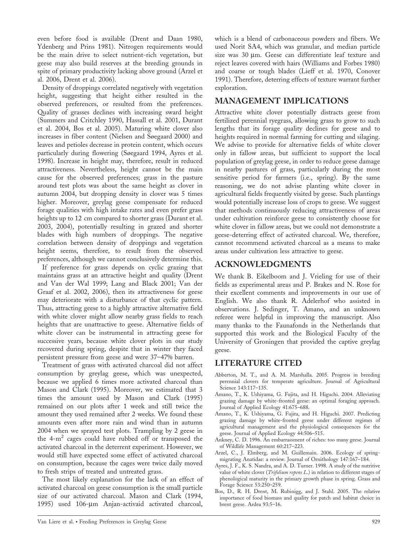even before food is available (Drent and Daan 1980, Ydenberg and Prins 1981). Nitrogen requirements would be the main drive to select nutrient-rich vegetation, but geese may also build reserves at the breeding grounds in spite of primary productivity lacking above ground (Arzel et al. 2006, Drent et al. 2006).

Density of droppings correlated negatively with vegetation height, suggesting that height either resulted in the observed preferences, or resulted from the preferences. Quality of grasses declines with increasing sward height (Summers and Critchley 1990, Hassall et al. 2001, Durant et al. 2004, Bos et al. 2005). Maturing white clover also increases in fiber content (Nielsen and Søegaard 2000) and leaves and petioles decrease in protein content, which occurs particularly during flowering (Søegaard 1994, Ayres et al. 1998). Increase in height may, therefore, result in reduced attractiveness. Nevertheless, height cannot be the main cause for the observed preferences; grass in the pasture around test plots was about the same height as clover in autumn 2004, but dropping density in clover was 5 times higher. Moreover, greylag geese compensate for reduced forage qualities with high intake rates and even prefer grass heights up to 12 cm compared to shorter grass (Durant et al. 2003, 2004), potentially resulting in grazed and shorter blades with high numbers of droppings. The negative correlation between density of droppings and vegetation height seems, therefore, to result from the observed preferences, although we cannot conclusively determine this.

If preference for grass depends on cyclic grazing that maintains grass at an attractive height and quality (Drent and Van der Wal 1999; Lang and Black 2001; Van der Graaf et al. 2002, 2006), then its attractiveness for geese may deteriorate with a disturbance of that cyclic pattern. Thus, attracting geese to a highly attractive alternative field with white clover might allow nearby grass fields to reach heights that are unattractive to geese. Alternative fields of white clover can be instrumental in attracting geese for successive years, because white clover plots in our study recovered during spring, despite that in winter they faced persistent pressure from geese and were 37–47% barren.

Treatment of grass with activated charcoal did not affect consumption by greylag geese, which was unexpected, because we applied 6 times more activated charcoal than Mason and Clark (1995). Moreover, we estimated that 3 times the amount used by Mason and Clark (1995) remained on our plots after 1 week and still twice the amount they used remained after 2 weeks. We found these amounts even after more rain and wind than in autumn 2004 when we sprayed test plots. Trampling by 2 geese in the  $4-m^2$  cages could have rubbed off or transposed the activated charcoal in the deterrent experiment. However, we would still have expected some effect of activated charcoal on consumption, because the cages were twice daily moved to fresh strips of treated and untreated grass.

The most likely explanation for the lack of an effect of activated charcoal on geese consumption is the small particle size of our activated charcoal. Mason and Clark (1994, 1995) used 106-um Anjan-activaid activated charcoal,

which is a blend of carbonaceous powders and fibers. We used Norit SA4, which was granular, and median particle size was 30  $\mu$ m. Geese can differentiate leaf texture and reject leaves covered with hairs (Williams and Forbes 1980) and coarse or tough blades (Lieff et al. 1970, Conover 1991). Therefore, deterring effects of texture warrant further exploration.

## MANAGEMENT IMPLICATIONS

Attractive white clover potentially distracts geese from fertilized perennial ryegrass, allowing grass to grow to such lengths that its forage quality declines for geese and to heights required in normal farming for cutting and silaging. We advise to provide for alternative fields of white clover only in fallow areas, but sufficient to support the local population of greylag geese, in order to reduce geese damage in nearby pastures of grass, particularly during the most sensitive period for farmers (i.e., spring). By the same reasoning, we do not advise planting white clover in agricultural fields frequently visited by geese. Such plantings would potentially increase loss of crops to geese. We suggest that methods continuously reducing attractiveness of areas under cultivation reinforce geese to consistently choose for white clover in fallow areas, but we could not demonstrate a geese-deterring effect of activated charcoal. We, therefore, cannot recommend activated charcoal as a means to make areas under cultivation less attractive to geese.

## ACKNOWLEDGMENTS

We thank B. Eikelboom and J. Vrieling for use of their fields as experimental areas and P. Brakes and N. Rose for their excellent comments and improvements in our use of English. We also thank R. Adelerhof who assisted in observations. J. Sedinger, T. Amano, and an unknown referee were helpful in improving the manuscript. Also many thanks to the Faunafonds in the Netherlands that supported this work and the Biological Faculty of the University of Groningen that provided the captive greylag geese.

## LITERATURE CITED

- Abberton, M. T., and A. M. Marshalla. 2005. Progress in breeding perennial clovers for temperate agriculture. Journal of Agricultural Science 143:117–135.
- Amano, T., K. Ushiyama, G. Fujita, and H. Higuchi. 2004. Alleviating grazing damage by white-fronted geese: an optimal foraging approach. Journal of Applied Ecology 41:675–688.
- Amano, T., K. Ushiyama, G. Fujita, and H. Higuchi. 2007. Predicting grazing damage by white-fronted geese under different regimes of agricultural management and the physiological consequences for the geese. Journal of Applied Ecology 44:506–515.
- Ankney, C. D. 1996. An embarrassment of riches: too many geese. Journal of Wildlife Management 60:217–223.
- Arzel, C., J. Elmberg, and M. Guillemain. 2006. Ecology of springmigrating Anatidae: a review. Journal of Ornithology 147:167–184.
- Ayres, J. F., K. S. Nandra, and A. D. Turner. 1998. A study of the nutritive value of white clover (Trifolium repens L.) in relation to different stages of phenological maturity in the primary growth phase in spring. Grass and Forage Science 53:250–259.
- Bos, D., R. H. Drent, M. Rubinigg, and J. Stahl. 2005. The relative importance of food biomass and quality for patch and habitat choice in brent geese. Ardea 93:5–16.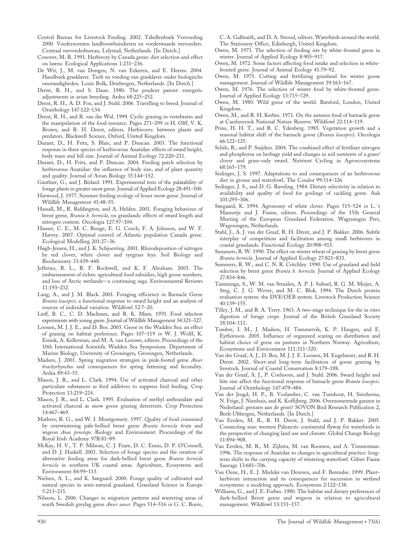- Central Bureau for Livestock Feeding. 2002. Tabellenboek Veevoeding 2000. Voedernormen landbouwhuisdieren en voederwaarde veevoeders. Centraal veevoederbureau, Lelystad, Netherlands. [In Dutch.]
- Conover, M. R. 1991. Herbivory by Canada geese: diet selection and effect on lawns. Ecological Applications 1:231–236.
- De Wit, J., M. van Dongen, N. van Eekeren, and E. Heeres. 2004. Handboek grasklaver. Teelt en voeding van grasklaver onder biologische omstandigheden. Louis Bolk, Driebergen, Netherlands. [In Dutch.]
- Drent, R. H., and S. Daan. 1980. The prudent parent: energetic adjustments in avian breeding. Ardea 68:225–252.
- Drent, R. H., A. D. Fox, and J. Stahl. 2006. Travelling to breed. Journal of Ornithology 147:122–134.
- Drent, R. H., and R. van der Wal. 1999. Cyclic grazing in vertebrates and the manipulation of the food resource. Pages 271–299 in H. Olff, V. K. Brown, and R. H. Drent, editors. Herbivores: between plants and predators. Blackwell Science, Oxford, United Kingdom.
- Durant, D., H. Fritz, S. Blais, and P. Duncan. 2003. The functional response in three species of herbivorous Anatidae: effects of sward height, body mass and bill size. Journal of Animal Ecology 72:220–231.
- Durant, D., H. Fritz, and P. Duncan. 2004. Feeding patch selection by herbivorous Anatidae: the influence of body size, and of plant quantity and quality. Journal of Avian Biology 35:144–152.
- Gauthier, G., and J. Bédard. 1991. Experimental tests of the palatability of forage plants in greater snow geese. Journal of Applied Ecology 28:491–500.
- Harwood, J. 1977. Summer feeding ecology of lesser snow geese. Journal of Wildlife Management 41:48–55.
- Hassall, M., R. Riddington, and A. Helden. 2001. Foraging behaviour of brent geese, Branta b. bernicla, on grasslands: effects of sward length and nitrogen content. Oecologia 127:97–104.
- Hauser, C. E., M. C. Runge, E. G. Cooch, F. A. Johnson, and W. F. Harvey. 2007. Optimal control of Atlantic population Canada geese. Ecological Modelling 201:27–36.
- Høgh-Jensen, H., and J. K. Schjoerring. 2001. Rhizodeposition of nitrogen by red clover, white clover and ryegrass leys. Soil Biology and Biochemistry 33:439–448.
- Jefferies, R. L., R. F. Rockwell, and K. F. Abraham. 2003. The embarrassment of riches: agricultural food subsidies, high goose numbers, and loss of Arctic wetlands—a continuing saga. Environmental Reviews 11:193–232.
- Lang, A., and J. M. Black. 2001. Foraging efficiency in Barnacle Geese Branta leucopsis: a functional response to sward height and an analysis of sources of individual variation. Wildfowl 52:7–20.
- Lieff, B. C., C. D. MacInnes, and R. K. Misra. 1970. Food selection experiments with young geese. Journal of Wildlife Management 34:321–327.
- Loonen, M. J. J. E., and D. Bos. 2003. Geese in the Wadden Sea: an effect of grazing on habitat preference. Pages 107–119 in W. J. Wolff, K. Essink, A. Kellerman, and M. A. van Leeuwe, editors. Proceedings of the 10th International Scientific Wadden Sea Symposium. Department of Marine Biology, University of Groningen, Groningen, Netherlands.
- Madsen, J. 2001. Spring migration strategies in pink-footed geese Anser brachyrhynchus and consequences for spring fattening and fecundity. Ardea 89:43–55.
- Mason, J. R., and L. Clark. 1994. Use of activated charcoal and other particulate substances as feed additives to suppress bird feeding. Crop Protection 13:219–224.
- Mason, J. R., and L. Clark. 1995. Evaluation of methyl anthranilate and activated charcoal as snow goose grazing deterrents. Crop Protection 14:467–469.
- Mathers, R. G., and W. I. Montgomery. 1997. Quality of food consumed by overwintering pale-bellied brent geese Branta bernicla hrota and wigeon Anas penelope. Biology and Environment: Proceedings of the Royal Irish Academy 97B:81–89.
- McKay, H. V., T. P. Milsom, C. J. Feare, D. C. Ennis, D. P. O'Connell, and D. J. Haskell. 2001. Selection of forage species and the creation of alternative feeding areas for dark-bellied brent geese Branta bernicla bernicla in southern UK coastal areas. Agriculture, Ecosystems and Environment 84:99–113.
- Nielsen, A. L., and K. Søegaard. 2000. Forage quality of cultivated and natural species in semi-natural grassland. Grassland Science in Europe 5:213–215.
- Nilsson, L. 2006. Changes in migration patterns and wintering areas of south Swedish greylag geese Anser anser. Pages 514-516 in G. C. Boere,

C. A. Galbraith, and D. A. Stroud, editors. Waterbirds around the world. The Stationery Office, Edinburgh, United Kingdom.

- Owen, M. 1971. The selection of feeding site by white-fronted geese in winter. Journal of Applied Ecology 8:905–917.
- Owen, M. 1972. Some factors affecting food intake and selection in whitefronted geese. Journal of Animal Ecology 41:79–92.
- Owen, M. 1975. Cutting and fertilizing grassland for winter goose management. Journal of Wildlife Management 39:163–167.
- Owen, M. 1976. The selection of winter food by white-fronted geese. Journal of Applied Ecology 13:715–729.
- Owen, M. 1980. Wild geese of the world. Batsford, London, United Kingdom.
- Owen, M., and R. H. Kerbes. 1971. On the autumn food of barnacle geese at Caerlaverock National Nature Reserve. Wildfowl 22:114–119.
- Prins, H. H. T., and R. C. Ydenberg. 1985. Vegetation growth and a seasonal habitat shift of the barnacle goose (Branta leucopsis). Oecologia 66:122–125.
- Schils, R., and P. Snijders. 2004. The combined effect of fertilizer nitrogen and phosphorus on herbage yield and changes in soil nutrients of a grass/ clover and grass-only sward. Nutrient Cycling in Agroecosystems 68:165–179.
- Sedinger, J. S. 1997. Adaptations to and consequences of an herbivorous diet in grouse and waterfowl. The Condor 99:314–326.
- Sedinger, J. S., and D. G. Raveling. 1984. Dietary selectivity in relation to availability and quality of food for goslings of cackling geese. Auk 101:295–306.
- Søegaard, K. 1994. Agronomy of white clover. Pages 515–524 in L. `t Mannetje and J. Frame, editors. Proceedings of the 15th General Meeting of the European Grassland Federation. Wageningen Pers, Wageningen, Netherlands.
- Stahl, J., A. J. van der Graaf, R. H. Drent, and J. P. Bakker. 2006. Subtle interplay of competition and facilitation among small herbivores in coastal grasslands. Functional Ecology 20:908–915.
- Summers, R. W. 1990. The effect on winter wheat of grazing by brent geese Branta bernicla. Journal of Applied Ecology 27:821–833.
- Summers, R. W., and C. N. R. Critchley. 1990. Use of grassland and field selection by brent geese *Branta b. bernicla*. Journal of Applied Ecology 27:834–846.
- Tamminga, S., W. M. van Straalen, A. P. J. Subnel, R. G. M. Meijer, A. Steg, C. J. G. Wever, and M. C. Blok. 1994. The Dutch protein evaluation system: the DVE/OEB system. Livestock Production Science 40:139–155.
- Tilley, J. M., and R. A. Terry. 1963. A two-stage technique for the in vitro digestion of forage crops. Journal of the British Grassland Society 18:104–111.
- Tombre, I. M., J. Madsen, H. Tømmervik, K. P. Haugen, and E. Eythórsson. 2005. Influence of organized scaring on distribution and habitat choice of geese on pastures in Northern Norway. Agriculture, Ecosystems and Environment 111:311–320.
- Van der Graaf, A. J., D. Bos, M. J. J. E. Loonen, M. Engelmoer, and R. H. Drent. 2002. Short-and long-term facilitation of goose grazing by livestock. Journal of Coastal Conservation 8:179–188.
- Van der Graaf, A. J., P. Coehoorn, and J. Stahl. 2006. Sward height and bite size affect the functional response of barnacle geese Branta leucopsis. Journal of Ornithology 147:479–484.
- Van der Jeugd, H. P., B. Voslamber, C. van Turnhout, H. Sierdsema, N. Feige, J. Nienhuis, and K. Koffijberg. 2006. Overzomerende ganzen in Nederland: grenzen aan de groei? SOVON Bird Research Publication 2, Beek-Ubbergen, Netherlands. [In Dutch.]
- Van Eerden, M. R., R. H. Drent, J. Stahl, and J. P. Bakker. 2005. Connecting seas: western Palearctic continental flyway for waterbirds in the perspective of changing land use and climate. Global Change Biology 11:894–908.
- Van Eerden, M. R., M. Zijlstra, M. van Roomen, and A. Timmerman. 1996. The response of Anatidae to changes in agricultural practice: longterm shifts in the carrying capacity of wintering waterfowl. Gibier Faune Sauvage 13:681–706.
- Van Oene, H., E. J. Mieleke van Deursen, and F. Berendse. 1999. Plant– herbivore interaction and its consequences for succession in wetland ecosystems: a modeling approach. Ecosystems 2:122–138.
- Williams, G., and J. E. Forbes. 1980. The habitat and dietary preferences of dark-bellied Brent geese and wigeon in relation to agricultural management. Wildfowl 13:151–157.